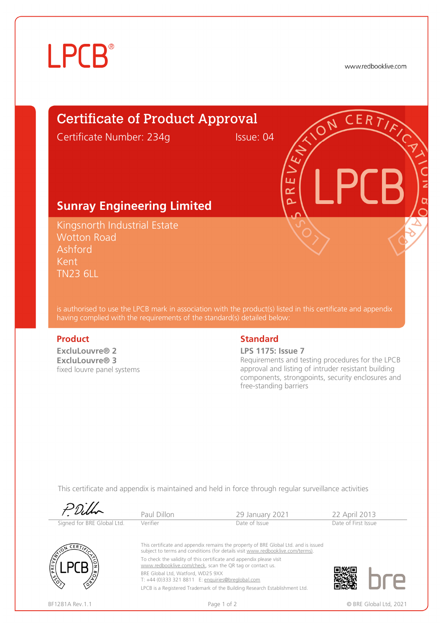# **LPCB**®

www.redbooklive.com

## Certificate of Product Approval

Certificate Number: 234g Issue: 04

ய œ  $\overline{\mathbf{C}}$ 

## **Sunray Engineering Limited**

Kingsnorth Industrial Estate Wotton Road Ashford Kent TN23 6LL

is authorised to use the LPCB mark in association with the product(s) listed in this certificate and appendix having complied with the requirements of the standard(s) detailed below:

**ExcluLouvre® 2 ExcluLouvre® 3**  fixed louvre panel systems

## **Product** Standard **Standard**

#### **LPS 1175: Issue 7**

Requirements and testing procedures for the LPCB approval and listing of intruder resistant building components, strongpoints, security enclosures and free-standing barriers

This certificate and appendix is maintained and held in force through regular surveillance activities

|                            | Paul Dillon                                                                                                                      | 29 January 2021                                                                                                                                                       | 22 April 2013       |                        |
|----------------------------|----------------------------------------------------------------------------------------------------------------------------------|-----------------------------------------------------------------------------------------------------------------------------------------------------------------------|---------------------|------------------------|
| Signed for BRE Global Ltd. | Verifier                                                                                                                         | Date of Issue                                                                                                                                                         | Date of First Issue |                        |
|                            |                                                                                                                                  | This certificate and appendix remains the property of BRE Global Ltd. and is issued<br>subject to terms and conditions (for details visit www.redbooklive.com/terms). |                     |                        |
| PREV                       | To check the validity of this certificate and appendix please visit<br>www.redbooklive.com/check, scan the QR tag or contact us. |                                                                                                                                                                       |                     |                        |
|                            | BRE Global Ltd, Watford, WD25 9XX<br>T: +44 (0)333 321 8811 E: enquiries@breglobal.com                                           |                                                                                                                                                                       |                     |                        |
|                            |                                                                                                                                  | LPCB is a Registered Trademark of the Building Research Establishment Ltd.                                                                                            |                     |                        |
| BF1281A Rev. 1.1           | Page 1 of 2                                                                                                                      |                                                                                                                                                                       |                     | © BRE Global Ltd. 2021 |